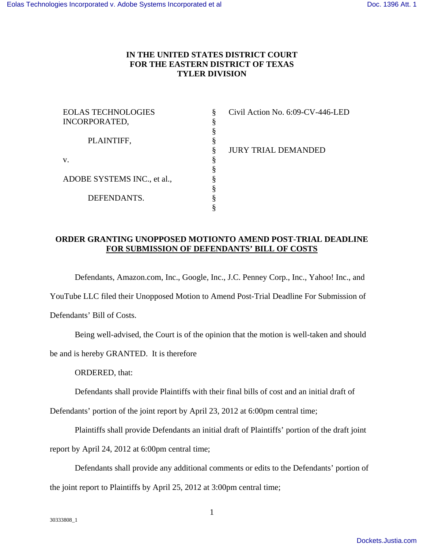## **IN THE UNITED STATES DISTRICT COURT FOR THE EASTERN DISTRICT OF TEXAS TYLER DIVISION**

| Civil Action No. 6:09-CV-446-LED |
|----------------------------------|
|                                  |
|                                  |
|                                  |
| <b>JURY TRIAL DEMANDED</b>       |
|                                  |
|                                  |
|                                  |
|                                  |
|                                  |
|                                  |
|                                  |

## **ORDER GRANTING UNOPPOSED MOTIONTO AMEND POST-TRIAL DEADLINE FOR SUBMISSION OF DEFENDANTS' BILL OF COSTS**

Defendants, Amazon.com, Inc., Google, Inc., J.C. Penney Corp., Inc., Yahoo! Inc., and

YouTube LLC filed their Unopposed Motion to Amend Post-Trial Deadline For Submission of

Defendants' Bill of Costs.

Being well-advised, the Court is of the opinion that the motion is well-taken and should

be and is hereby GRANTED. It is therefore

ORDERED, that:

Defendants shall provide Plaintiffs with their final bills of cost and an initial draft of

Defendants' portion of the joint report by April 23, 2012 at 6:00pm central time;

Plaintiffs shall provide Defendants an initial draft of Plaintiffs' portion of the draft joint

report by April 24, 2012 at 6:00pm central time;

Defendants shall provide any additional comments or edits to the Defendants' portion of the joint report to Plaintiffs by April 25, 2012 at 3:00pm central time;